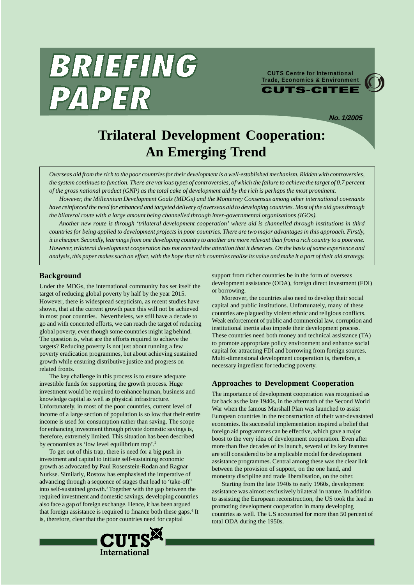

**CUTS Centre for International Trade, Economics & EnvironmentCUTS-CITEE** 

**No. 1/2005**

# **Trilateral Development Cooperation: An Emerging Trend**

*Overseas aid from the rich to the poor countries for their development is a well-established mechanism. Ridden with controversies, the system continues to function. There are various types of controversies, of which the failure to achieve the target of 0.7 percent of the gross national product (GNP) as the total cake of development aid by the rich is perhaps the most prominent.*

*However, the Millennium Development Goals (MDGs) and the Monterrey Consensus among other international covenants have reinforced the need for enhanced and targeted delivery of overseas aid to developing countries. Most of the aid goes through the bilateral route with a large amount being channelled through inter-governmental organisations (IGOs).*

*Another new route is through 'trilateral development cooperation' where aid is channelled through institutions in third countries for being applied to development projects in poor countries. There are two major advantages in this approach. Firstly, it is cheaper. Secondly, learnings from one developing country to another are more relevant than from a rich country to a poor one. However, trilateral development cooperation has not received the attention that it deserves. On the basis of some experience and analysis, this paper makes such an effort, with the hope that rich countries realise its value and make it a part of their aid strategy.*

#### **Background**

Under the MDGs, the international community has set itself the target of reducing global poverty by half by the year 2015. However, there is widespread scepticism, as recent studies have shown, that at the current growth pace this will not be achieved in most poor countries.<sup>1</sup> Nevertheless, we still have a decade to go and with concerted efforts, we can reach the target of reducing global poverty, even though some countries might lag behind. The question is, what are the efforts required to achieve the targets? Reducing poverty is not just about running a few poverty eradication programmes, but about achieving sustained growth while ensuring distributive justice and progress on related fronts.

The key challenge in this process is to ensure adequate investible funds for supporting the growth process. Huge investment would be required to enhance human, business and knowledge capital as well as physical infrastructure. Unfortunately, in most of the poor countries, current level of income of a large section of population is so low that their entire income is used for consumption rather than saving. The scope for enhancing investment through private domestic savings is, therefore, extremely limited. This situation has been described by economists as 'low level equilibrium trap'.<sup>2</sup>

To get out of this trap, there is need for a big push in investment and capital to initiate self-sustaining economic growth as advocated by Paul Rosenstein-Rodan and Ragnar Nurkse. Similarly, Rostow has emphasised the imperative of advancing through a sequence of stages that lead to 'take-off' into self-sustained growth.3Together with the gap between the required investment and domestic savings, developing countries also face a gap of foreign exchange. Hence, it has been argued that foreign assistance is required to finance both these gaps.<sup>4</sup> It is, therefore, clear that the poor countries need for capital



support from richer countries be in the form of overseas development assistance (ODA), foreign direct investment (FDI) or borrowing.

Moreover, the countries also need to develop their social capital and public institutions. Unfortunately, many of these countries are plagued by violent ethnic and religious conflicts. Weak enforcement of public and commercial law, corruption and institutional inertia also impede their development process. These countries need both money and technical assistance (TA) to promote appropriate policy environment and enhance social capital for attracting FDI and borrowing from foreign sources. Multi-dimensional development cooperation is, therefore, a necessary ingredient for reducing poverty.

#### **Approaches to Development Cooperation**

The importance of development cooperation was recognised as far back as the late 1940s, in the aftermath of the Second World War when the famous Marshall Plan was launched to assist European countries in the reconstruction of their war-devastated economies. Its successful implementation inspired a belief that foreign aid programmes can be effective, which gave a major boost to the very idea of development cooperation. Even after more than five decades of its launch, several of its key features are still considered to be a replicable model for development assistance programmes. Central among these was the clear link between the provision of support, on the one hand, and monetary discipline and trade liberalisation, on the other.

Starting from the late 1940s to early 1960s, development assistance was almost exclusively bilateral in nature. In addition to assisting the European reconstruction, the US took the lead in promoting development cooperation in many developing countries as well. The US accounted for more than 50 percent of total ODA during the 1950s.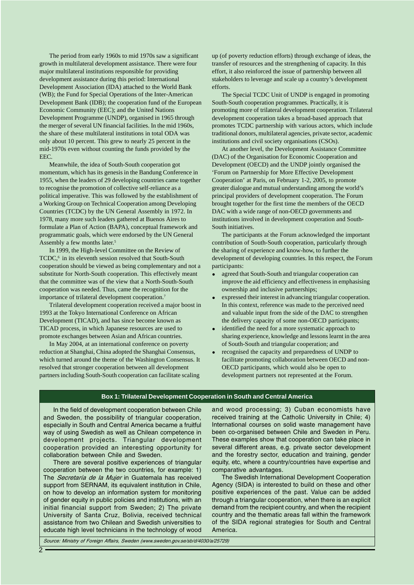The period from early 1960s to mid 1970s saw a significant growth in multilateral development assistance. There were four major multilateral institutions responsible for providing development assistance during this period: International Development Association (IDA) attached to the World Bank (WB); the Fund for Special Operations of the Inter-American Development Bank (IDB); the cooperation fund of the European Economic Community (EEC); and the United Nations Development Programme (UNDP), organised in 1965 through the merger of several UN financial facilities. In the mid 1960s, the share of these multilateral institutions in total ODA was only about 10 percent. This grew to nearly 25 percent in the mid-1970s even without counting the funds provided by the EEC.

Meanwhile, the idea of South-South cooperation got momentum, which has its genesis in the Bandung Conference in 1955, when the leaders of 29 developing countries came together to recognise the promotion of collective self-reliance as a political imperative. This was followed by the establishment of a Working Group on Technical Cooperation among Developing Countries (TCDC) by the UN General Assembly in 1972. In 1978, many more such leaders gathered at Buenos Aires to formulate a Plan of Action (BAPA), conceptual framework and programmatic goals, which were endorsed by the UN General Assembly a few months later.5

In 1999, the High-level Committee on the Review of TCDC,<sup>6</sup> in its eleventh session resolved that South-South cooperation should be viewed as being complementary and not a substitute for North-South cooperation. This effectively meant that the committee was of the view that a North-South-South cooperation was needed. Thus, came the recognition for the importance of trilateral development cooperation.7

Trilateral development cooperation received a major boost in 1993 at the Tokyo International Conference on African Development (TICAD), and has since become known as TICAD process, in which Japanese resources are used to promote exchanges between Asian and African countries.

In May 2004, at an international conference on poverty reduction at Shanghai, China adopted the Shanghai Consensus, which turned around the theme of the Washington Consensus. It resolved that stronger cooperation between all development partners including South-South cooperation can facilitate scaling

up (of poverty reduction efforts) through exchange of ideas, the transfer of resources and the strengthening of capacity. In this effort, it also reinforced the issue of partnership between all stakeholders to leverage and scale up a country's development efforts.

The Special TCDC Unit of UNDP is engaged in promoting South-South cooperation programmes. Practically, it is promoting more of trilateral development cooperation. Trilateral development cooperation takes a broad-based approach that promotes TCDC partnership with various actors, which include traditional donors, multilateral agencies, private sector, academic institutions and civil society organisations (CSOs).

At another level, the Development Assistance Committee (DAC) of the Organisation for Economic Cooperation and Development (OECD) and the UNDP jointly organised the 'Forum on Partnership for More Effective Development Cooperation' at Paris, on February 1-2, 2005, to promote greater dialogue and mutual understanding among the world's principal providers of development cooperation. The Forum brought together for the first time the members of the OECD DAC with a wide range of non-OECD governments and institutions involved in development cooperation and South-South initiatives.

The participants at the Forum acknowledged the important contribution of South-South cooperation, particularly through the sharing of experience and know-how, to further the development of developing countries. In this respect, the Forum participants:

- agreed that South-South and triangular cooperation can improve the aid efficiency and effectiveness in emphasising ownership and inclusive partnerships;
- expressed their interest in advancing triangular cooperation. In this context, reference was made to the perceived need and valuable input from the side of the DAC to strengthen the delivery capacity of some non-OECD participants;
- identified the need for a more systematic approach to sharing experience, knowledge and lessons learnt in the area of South-South and triangular cooperation; and
- recognised the capacity and preparedness of UNDP to facilitate promoting collaboration between OECD and non-OECD participants, which would also be open to development partners not represented at the Forum.

#### **Box 1: Trilateral Development Cooperation in South and Central America**

In the field of development cooperation between Chile and Sweden, the possibility of triangular cooperation, especially in South and Central America became a fruitful way of using Swedish as well as Chilean competence in development projects. Triangular development cooperation provided an interesting opportunity for collaboration between Chile and Sweden.

There are several positive experiences of triangular cooperation between the two countries, for example: 1) The Secretaría de la Mujer in Guatemala has received support from SERNAM, its equivalent institution in Chile, on how to develop an information system for monitoring of gender equity in public policies and institutions, with an initial financial support from Sweden; 2) The private University of Santa Cruz, Bolivia, received technical assistance from two Chilean and Swedish universities to educate high level technicians in the technology of wood

and wood processing; 3) Cuban economists have received training at the Catholic University in Chile; 4) International courses on solid waste management have been co-organised between Chile and Sweden in Peru. These examples show that cooperation can take place in several different areas, e.g. private sector development and the forestry sector, education and training, gender equity, etc, where a country/countries have expertise and comparative advantages.

The Swedish International Development Cooperation Agency (SIDA) is interested to build on these and other positive experiences of the past. Value can be added through a triangular cooperation, when there is an explicit demand from the recipient country, and when the recipient country and the thematic areas fall within the framework of the SIDA regional strategies for South and Central America.

Source: Ministry of Foreign Affairs, Sweden (www.sweden.gov.se/sb/d/4030/a/25729)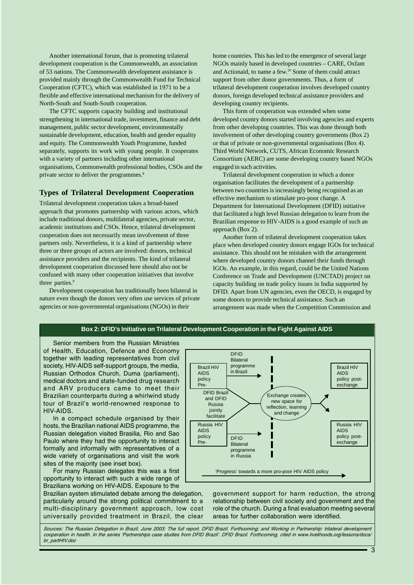Another international forum, that is promoting trilateral development cooperation is the Commonwealth, an association of 53 nations. The Commonwealth development assistance is provided mainly through the Commonwealth Fund for Technical Cooperation (CFTC), which was established in 1971 to be a flexible and effective international mechanism for the delivery of North-South and South-South cooperation.

The CFTC supports capacity building and institutional strengthening in international trade, investment, finance and debt management, public sector development, environmentally sustainable development, education, health and gender equality and equity. The Commonwealth Youth Programme, funded separately, supports its work with young people. It cooperates with a variety of partners including other international organisations, Commonwealth professional bodies, CSOs and the private sector to deliver the programmes.<sup>8</sup>

### **Types of Trilateral Development Cooperation**

Trilateral development cooperation takes a broad-based approach that promotes partnership with various actors, which include traditional donors, multilateral agencies, private sector, academic institutions and CSOs. Hence, trilateral development cooperation does not necessarily mean involvement of three partners only. Nevertheless, it is a kind of partnership where three or three groups of actors are involved: donors, technical assistance providers and the recipients. The kind of trilateral development cooperation discussed here should also not be confused with many other cooperation initiatives that involve three parties.<sup>9</sup>

Development cooperation has traditionally been bilateral in nature even though the donors very often use services of private agencies or non-governmental organisations (NGOs) in their

home countries. This has led to the emergence of several large NGOs mainly based in developed countries – CARE, Oxfam and Actionaid, to name a few.10 Some of them could attract support from other donor governments. Thus, a form of trilateral development cooperation involves developed country donors, foreign developed technical assistance providers and developing country recipients.

This form of cooperation was extended when some developed country donors started involving agencies and experts from other developing countries. This was done through both involvement of other developing country governments (Box 2) or that of private or non-governmental organisations (Box 4). Third World Network, CUTS, African Economic Research Consortium (AERC) are some developing country based NGOs engaged in such activities.

Trilateral development cooperation in which a donor organisation facilitates the development of a partnership between two countries is increasingly being recognised as an effective mechanism to stimulate pro-poor change. A Department for International Development (DFID) initiative that facilitated a high level Russian delegation to learn from the Brazilian response to HIV-AIDS is a good example of such an approach (Box 2).

Another form of trilateral development cooperation takes place when developed country donors engage IGOs for technical assistance. This should not be mistaken with the arrangement where developed country donors channel their funds through IGOs. An example, in this regard, could be the United Nations Conference on Trade and Development (UNCTAD) project on capacity building on trade policy issues in India supported by DFID. Apart from UN agencies, even the OECD, is engaged by some donors to provide technical assistance. Such an arrangement was made when the Competition Commission and

#### Senior members from the Russian Ministries of Health, Education, Defence and Economy together with leading representatives from civil society, HIV-AIDS self-support groups, the media, Russian Orthodox Church, Duma (parliament), medical doctors and state-funded drug research and ARV producers came to meet their Brazilian counterparts during a whirlwind study tour of Brazil's world-renowned response to HIV-AIDS. In a compact schedule organised by their hosts, the Brazilian national AIDS programme, the Russian delegation visited Brasilia, Rio and Sao Paulo where they had the opportunity to interact formally and informally with representatives of a wide variety of organisations and visit the work sites of the majority (see inset box). Brazil HIV AIDS policy .<br>Pre-Russia HIV AIDS policy Pre-DFID Brazil and DFID Russia jointly facilitate DFID Bilateral programme in Brazil DFID Bilateral programme in Russia Brazil HIV AIDS policy postexchange Russia HIV AIDS policy postexchange Exchange creates new space for reflection, learning and change

For many Russian delegates this was a first opportunity to interact with such a wide range of Brazilians working on HIV-AIDS. Exposure to the

Brazilian system stimulated debate among the delegation, particularly around the strong political commitment to a multi-disciplinary government approach, low cost universally provided treatment in Brazil, the clear government support for harm reduction, the strong relationship between civil society and government and the role of the church. During a final evaluation meeting several areas for further collaboration were identified.

'Progress' towards a more pro-poor HIV AIDS policy

Sources: The Russian Delegation in Brazil, June 2003: The full report. DFID Brazil. Forthcoming; and Working in Partnership: trilateral development cooperation in health. In the series Partnerships case studies from DFID Brazil. DFID Brazil. Forthcoming, cited in www.livelihoods.org/lessons/docs/ br\_partHIV.doc

## **Box 2: DFID's Initiative on Trilateral Development Cooperation in the Fight Against AIDS**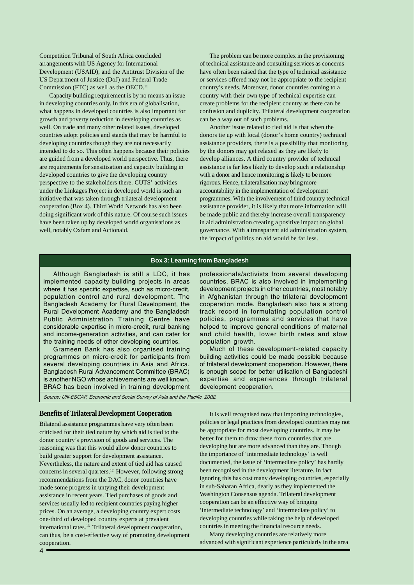Competition Tribunal of South Africa concluded arrangements with US Agency for International Development (USAID), and the Antitrust Division of the US Department of Justice (DoJ) and Federal Trade Commission (FTC) as well as the OECD.<sup>11</sup>

Capacity building requirement is by no means an issue in developing countries only. In this era of globalisation, what happens in developed countries is also important for growth and poverty reduction in developing countries as well. On trade and many other related issues, developed countries adopt policies and stands that may be harmful to developing countries though they are not necessarily intended to do so. This often happens because their policies are guided from a developed world perspective. Thus, there are requirements for sensitisation and capacity building in developed countries to give the developing country perspective to the stakeholders there. CUTS' activities under the Linkages Project in developed world is such an initiative that was taken through trilateral development cooperation (Box 4). Third World Network has also been doing significant work of this nature. Of course such issues have been taken up by developed world organisations as well, notably Oxfam and Actionaid.

The problem can be more complex in the provisioning of technical assistance and consulting services as concerns have often been raised that the type of technical assistance or services offered may not be appropriate to the recipient country's needs. Moreover, donor countries coming to a country with their own type of technical expertise can create problems for the recipient country as there can be confusion and duplicity. Trilateral development cooperation can be a way out of such problems.

Another issue related to tied aid is that when the donors tie up with local (donor's home country) technical assistance providers, there is a possibility that monitoring by the donors may get relaxed as they are likely to develop alliances. A third country provider of technical assistance is far less likely to develop such a relationship with a donor and hence monitoring is likely to be more rigorous. Hence, trilateralisation may bring more accountability in the implementation of development programmes. With the involvement of third country technical assistance provider, it is likely that more information will be made public and thereby increase overall transparency in aid administration creating a positive impact on global governance. With a transparent aid administration system, the impact of politics on aid would be far less.

#### **Box 3: Learning from Bangladesh**

Although Bangladesh is still a LDC, it has implemented capacity building projects in areas where it has specific expertise, such as micro-credit, population control and rural development. The Bangladesh Academy for Rural Development, the Rural Development Academy and the Bangladesh Public Administration Training Centre have considerable expertise in micro-credit, rural banking and income-generation activities, and can cater for the training needs of other developing countries.

Grameen Bank has also organised training programmes on micro-credit for participants from several developing countries in Asia and Africa. Bangladesh Rural Advancement Committee (BRAC) is another NGO whose achievements are well known. BRAC has been involved in training development

professionals/activists from several developing countries. BRAC is also involved in implementing development projects in other countries, most notably in Afghanistan through the trilateral development cooperation mode. Bangladesh also has a strong track record in formulating population control policies, programmes and services that have helped to improve general conditions of maternal and child health, lower birth rates and slow population growth.

Much of these development-related capacity building activities could be made possible because of trilateral development cooperation. However, there is enough scope for better utilisation of Bangladeshi expertise and experiences through trilateral development cooperation.

Source: UN-ESCAP, Economic and Social Survey of Asia and the Pacific, 2002.

#### **Benefits of Trilateral Development Cooperation**

Bilateral assistance programmes have very often been criticised for their tied nature by which aid is tied to the donor country's provision of goods and services. The reasoning was that this would allow donor countries to build greater support for development assistance. Nevertheless, the nature and extent of tied aid has caused concerns in several quarters.12 However, following strong recommendations from the DAC, donor countries have made some progress in untying their development assistance in recent years. Tied purchases of goods and services usually led to recipient countries paying higher prices. On an average, a developing country expert costs one-third of developed country experts at prevalent international rates.<sup>13</sup> Trilateral development cooperation, can thus, be a cost-effective way of promoting development cooperation.

It is well recognised now that importing technologies, policies or legal practices from developed countries may not be appropriate for most developing countries. It may be better for them to draw these from countries that are developing but are more advanced than they are. Though the importance of 'intermediate technology' is well documented, the issue of 'intermediate policy' has hardly been recognised in the development literature. In fact ignoring this has cost many developing countries, especially in sub-Saharan Africa, dearly as they implemented the Washington Consensus agenda. Trilateral development cooperation can be an effective way of bringing 'intermediate technology' and 'intermediate policy' to developing countries while taking the help of developed countries in meeting the financial resource needs.

Many developing countries are relatively more advanced with significant experience particularly in the area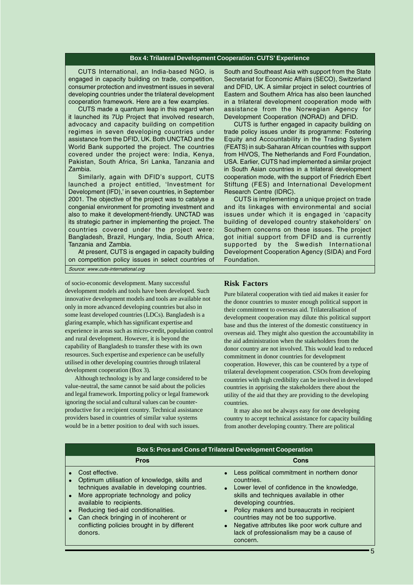#### **Box 4: Trilateral Development Cooperation: CUTS' Experience**

CUTS International, an India-based NGO, is engaged in capacity building on trade, competition, consumer protection and investment issues in several developing countries under the trilateral development cooperation framework. Here are a few examples.

CUTS made a quantum leap in this regard when it launched its 7Up Project that involved research, advocacy and capacity building on competition regimes in seven developing countries under assistance from the DFID, UK. Both UNCTAD and the World Bank supported the project. The countries covered under the project were: India, Kenya, Pakistan, South Africa, Sri Lanka, Tanzania and Zambia.

Similarly, again with DFID's support, CUTS launched a project entitled, 'Investment for Development (IFD),' in seven countries, in September 2001. The objective of the project was to catalyse a congenial environment for promoting investment and also to make it development-friendly. UNCTAD was its strategic partner in implementing the project. The countries covered under the project were: Bangladesh, Brazil, Hungary, India, South Africa, Tanzania and Zambia.

At present, CUTS is engaged in capacity building on competition policy issues in select countries of Source: www.cuts-international.org

of socio-economic development. Many successful development models and tools have been developed. Such innovative development models and tools are available not only in more advanced developing countries but also in some least developed countries (LDCs). Bangladesh is a glaring example, which has significant expertise and experience in areas such as micro-credit, population control and rural development. However, it is beyond the capability of Bangladesh to transfer these with its own resources. Such expertise and experience can be usefully utilised in other developing countries through trilateral development cooperation (Box 3).

Although technology is by and large considered to be value-neutral, the same cannot be said about the policies and legal framework. Importing policy or legal framework ignoring the social and cultural values can be counterproductive for a recipient country. Technical assistance providers based in countries of similar value systems would be in a better position to deal with such issues.

South and Southeast Asia with support from the State Secretariat for Economic Affairs (SECO), Switzerland and DFID, UK. A similar project in select countries of Eastern and Southern Africa has also been launched in a trilateral development cooperation mode with assistance from the Norwegian Agency for Development Cooperation (NORAD) and DFID.

CUTS is further engaged in capacity building on trade policy issues under its programme: Fostering Equity and Accountability in the Trading System (FEATS) in sub-Saharan African countries with support from HIVOS, The Netherlands and Ford Foundation, USA. Earlier, CUTS had implemented a similar project in South Asian countries in a trilateral development cooperation mode, with the support of Friedrich Ebert Stiftung (FES) and International Development Research Centre (IDRC).

CUTS is implementing a unique project on trade and its linkages with environmental and social issues under which it is engaged in 'capacity building of developed country stakeholders' on Southern concerns on these issues. The project got initial support from DFID and is currently supported by the Swedish International Development Cooperation Agency (SIDA) and Ford Foundation.

#### **Risk Factors**

Pure bilateral cooperation with tied aid makes it easier for the donor countries to muster enough political support in their commitment to overseas aid. Trilateralisation of development cooperation may dilute this political support base and thus the interest of the domestic constituency in overseas aid. They might also question the accountability in the aid administration when the stakeholders from the donor country are not involved. This would lead to reduced commitment in donor countries for development cooperation. However, this can be countered by a type of trilateral development cooperation. CSOs from developing countries with high credibility can be involved in developed countries in apprising the stakeholders there about the utility of the aid that they are providing to the developing countries.

It may also not be always easy for one developing country to accept technical assistance for capacity building from another developing country. There are political

| <b>Box 5: Pros and Cons of Trilateral Development Cooperation</b>                                                                                                                                                                                                                                                                  |                                                                                                                                                                                                                                                                                                                                                                                |
|------------------------------------------------------------------------------------------------------------------------------------------------------------------------------------------------------------------------------------------------------------------------------------------------------------------------------------|--------------------------------------------------------------------------------------------------------------------------------------------------------------------------------------------------------------------------------------------------------------------------------------------------------------------------------------------------------------------------------|
| <b>Pros</b>                                                                                                                                                                                                                                                                                                                        | Cons                                                                                                                                                                                                                                                                                                                                                                           |
| Cost effective.<br>Optimum utilisation of knowledge, skills and<br>techniques available in developing countries.<br>More appropriate technology and policy<br>available to recipients.<br>Reducing tied-aid conditionalities.<br>Can check bringing in of incoherent or<br>conflicting policies brought in by different<br>donors. | Less political commitment in northern donor<br>countries.<br>Lower level of confidence in the knowledge,<br>skills and techniques available in other<br>developing countries.<br>Policy makers and bureaucrats in recipient<br>countries may not be too supportive.<br>Negative attributes like poor work culture and<br>lack of professionalism may be a cause of<br>concern. |